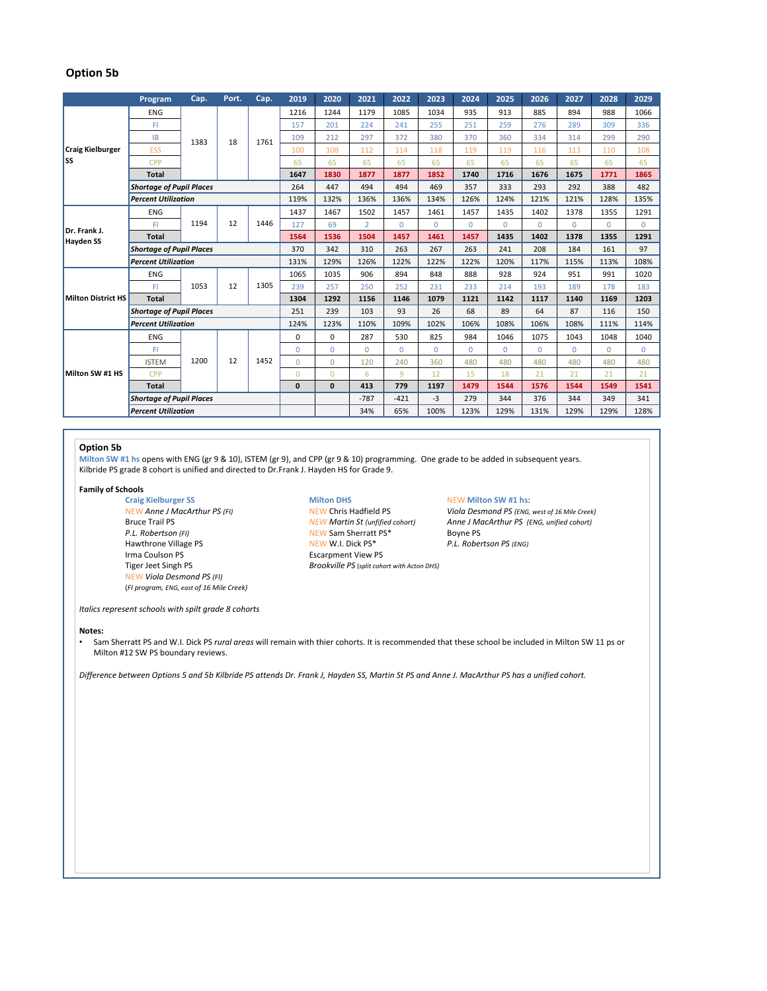## **Option 5b**

|                                  | Program                         | Cap. | Port. | Cap. | 2019         | 2020           | 2021           | 2022        | 2023     | 2024     | 2025         | 2026     | 2027     | 2028         | 2029         |
|----------------------------------|---------------------------------|------|-------|------|--------------|----------------|----------------|-------------|----------|----------|--------------|----------|----------|--------------|--------------|
| <b>Craig Kielburger</b><br>lss   | <b>ENG</b>                      | 1383 | 18    | 1761 | 1216         | 1244           | 1179           | 1085        | 1034     | 935      | 913          | 885      | 894      | 988          | 1066         |
|                                  | FI                              |      |       |      | 157          | 201            | 224            | 241         | 255      | 251      | 259          | 276      | 289      | 309          | 336          |
|                                  | <b>IB</b>                       |      |       |      | 109          | 212            | 297            | 372         | 380      | 370      | 360          | 334      | 314      | 299          | 290          |
|                                  | <b>ESS</b>                      |      |       |      | 100          | 108            | 112            | 114         | 118      | 119      | 119          | 116      | 113      | 110          | 108          |
|                                  | <b>CPP</b>                      |      |       |      | 65           | 65             | 65             | 65          | 65       | 65       | 65           | 65       | 65       | 65           | 65           |
|                                  | <b>Total</b>                    |      |       |      | 1647         | 1830           | 1877           | 1877        | 1852     | 1740     | 1716         | 1676     | 1675     | 1771         | 1865         |
|                                  | <b>Shortage of Pupil Places</b> |      |       |      | 264          | 447            | 494            | 494         | 469      | 357      | 333          | 293      | 292      | 388          | 482          |
|                                  | <b>Percent Utilization</b>      |      |       |      | 119%         | 132%           | 136%           | 136%        | 134%     | 126%     | 124%         | 121%     | 121%     | 128%         | 135%         |
| Dr. Frank J.<br><b>Hayden SS</b> | ENG                             | 1194 | 12    | 1446 | 1437         | 1467           | 1502           | 1457        | 1461     | 1457     | 1435         | 1402     | 1378     | 1355         | 1291         |
|                                  | FI                              |      |       |      | 127          | 69             | $\overline{2}$ | $\Omega$    | $\Omega$ | $\Omega$ | $\Omega$     | $\Omega$ | $\Omega$ | $\Omega$     | $\Omega$     |
|                                  | <b>Total</b>                    |      |       |      | 1564         | 1536           | 1504           | 1457        | 1461     | 1457     | 1435         | 1402     | 1378     | 1355         | 1291         |
|                                  | <b>Shortage of Pupil Places</b> |      |       |      | 370          | 342            | 310            | 263         | 267      | 263      | 241          | 208      | 184      | 161          | 97           |
|                                  | <b>Percent Utilization</b>      |      |       |      | 131%         | 129%           | 126%           | 122%        | 122%     | 122%     | 120%         | 117%     | 115%     | 113%         | 108%         |
| <b>Milton District HS</b>        | ENG                             | 1053 | 12    | 1305 | 1065         | 1035           | 906            | 894         | 848      | 888      | 928          | 924      | 951      | 991          | 1020         |
|                                  | FI                              |      |       |      | 239          | 257            | 250            | 252         | 231      | 233      | 214          | 193      | 189      | 178          | 183          |
|                                  | <b>Total</b>                    |      |       |      | 1304         | 1292           | 1156           | 1146        | 1079     | 1121     | 1142         | 1117     | 1140     | 1169         | 1203         |
|                                  | <b>Shortage of Pupil Places</b> |      |       |      | 251          | 239            | 103            | 93          | 26       | 68       | 89           | 64       | 87       | 116          | 150          |
|                                  | <b>Percent Utilization</b>      |      |       |      | 124%         | 123%           | 110%           | 109%        | 102%     | 106%     | 108%         | 106%     | 108%     | 111%         | 114%         |
| Milton SW #1 HS                  | ENG                             | 1200 | 12    | 1452 | 0            | $\Omega$       | 287            | 530         | 825      | 984      | 1046         | 1075     | 1043     | 1048         | 1040         |
|                                  | FI                              |      |       |      | $\mathbf{0}$ | $\mathbf 0$    | $\Omega$       | $\mathbf 0$ | $\Omega$ | $\Omega$ | $\mathbf{0}$ | $\Omega$ | $\Omega$ | $\mathbf{0}$ | $\mathbf{0}$ |
|                                  | <b>ISTEM</b>                    |      |       |      | $\Omega$     | $\Omega$       | 120            | 240         | 360      | 480      | 480          | 480      | 480      | 480          | 480          |
|                                  | <b>CPP</b>                      |      |       |      | $\mathbf{0}$ | $\overline{0}$ | 6              | 9           | 12       | 15       | 18           | 21       | 21       | 21           | 21           |
|                                  | <b>Total</b>                    |      |       |      | $\mathbf{0}$ | $\mathbf{0}$   | 413            | 779         | 1197     | 1479     | 1544         | 1576     | 1544     | 1549         | 1541         |
|                                  | <b>Shortage of Pupil Places</b> |      |       |      |              |                | $-787$         | $-421$      | $-3$     | 279      | 344          | 376      | 344      | 349          | 341          |
|                                  | <b>Percent Utilization</b>      |      |       |      |              |                | 34%            | 65%         | 100%     | 123%     | 129%         | 131%     | 129%     | 129%         | 128%         |

## **Option 5b**

**Milton SW #1 hs** opens with ENG (gr 9 & 10), ISTEM (gr 9), and CPP (gr 9 & 10) programming. One grade to be added in subsequent years. Kilbride PS grade 8 cohort is unified and directed to Dr.Frank J. Hayden HS for Grade 9.

# **Family of Schools**

Irma Coulson PS<br>
Tiger Jeet Singh PS<br>
Singh PS<br>
Singh PS<br>
Brookville PS (split coho NEW *Viola Desmond PS (FI)* (*FI program, ENG, east of 16 Mile Creek)*

**P.A. Robertson Sherratt PS\*** Boyne PS Hawthrone Village PS **NEW W.I. Dick PS<sup>\*</sup>** P.L. Robertson PS (ENG)<br>
Irma Coulson PS **PESSES** Escarpment View PS **Brookville PS** (split cohort with Acton DHS)

## **Craig Kielburger SS Milton DHS** NEW **Milton SW #1 hs**:

NEW Anne J MacArthur PS (FI) NEW Chris Hadfield PS *Viola Desmond PS (ENG, west of 16 Mile Creek)*<br>Bruce Trail PS *(ENG, unified cohort)* NEW Martin St (unfified cohort) Anne J MacArthur PS (ENG, unified cohort) Bruce Trail PS *NEW Martin St (unfified cohort) Anne J MacArthur PS (ENG, unified cohort)*<br> *NEW Sam Sherratt PS\** Boyne PS<br>
Boyne PS

*Italics represent schools with spilt grade 8 cohorts*

### **Notes:**

• Sam Sherratt PS and W.I. Dick PS *rural areas* will remain with thier cohorts. It is recommended that these school be included in Milton SW 11 ps or Milton #12 SW PS boundary reviews.

*Difference between Options 5 and 5b Kilbride PS attends Dr. Frank J, Hayden SS, Martin St PS and Anne J. MacArthur PS has a unified cohort.*